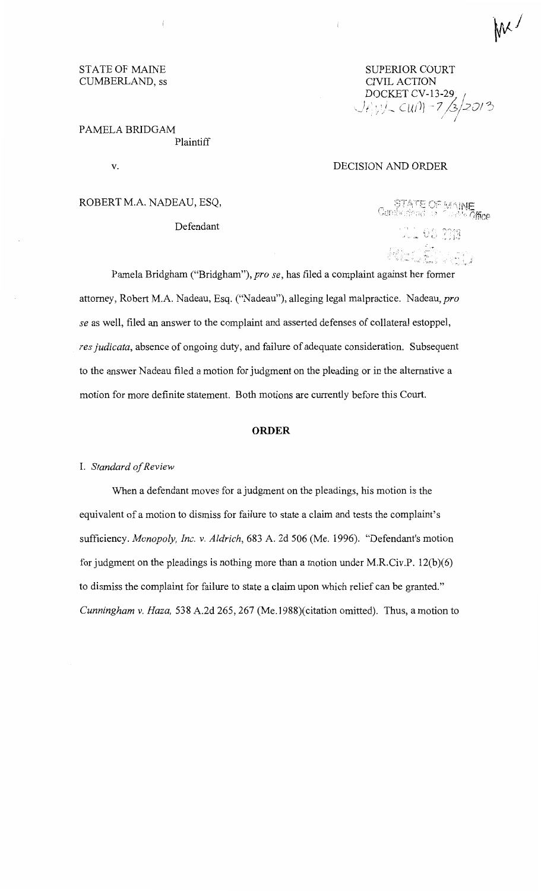SUPERJOR COURT CIVIL ACTION DOCKET CV-13-29 *Jt Jy J - CuM - 7 /3/201* 3 I

## PAMELA BRJDGAM Plaintiff

v.

STATE OF MAINE CUMBERLAND, ss

## DECISION AND ORDER

ROBERT M.A. NADEAU, ESQ,

Defendant

**STATE OF MAINE**<br>Cambotisted as Courts Office ULL 08 2913 '' ' .. '.,\_\_ *··.:* 

' .v

Mr.

Pamela Bridgham ("Bridgham"), *prose,* has filed a complaint against her former attorney, Robert M.A. Nadeau, Esq. ("Nadeau"), alleging legal malpractice. Nadeau, *pro se* as well, filed an answer to the complaint and asserted defenses of collateral estoppel, *res judicata,* absence of ongoing duty, and failure of adequate consideration. Subsequent to the answer Nadeau filed a motion for judgment on the pleading or in the alternative a motion for more definite statement. Both motions are currently before this Court.

#### **ORDER**

#### I. *Standard of Review*

When a defendant moves for a judgment on the pleadings, his motion is the equivalent of a motion to dismiss for failure to state a claim and tests the complaint's sufficiency. *Monopoly, Inc. v. Aldrich,* 683 A. 2d 506 (Me. 1996). "Defendant's motion for judgment on the pleadings is nothing more than a motion under M.R.Civ.P. 12(b)(6) to dismiss the complaint for failure to state a claim upon which relief can be granted." *Cunningham v. Haza,* 538 A.2d 265,267 (Me.1988)(citation omitted). Thus, a motion to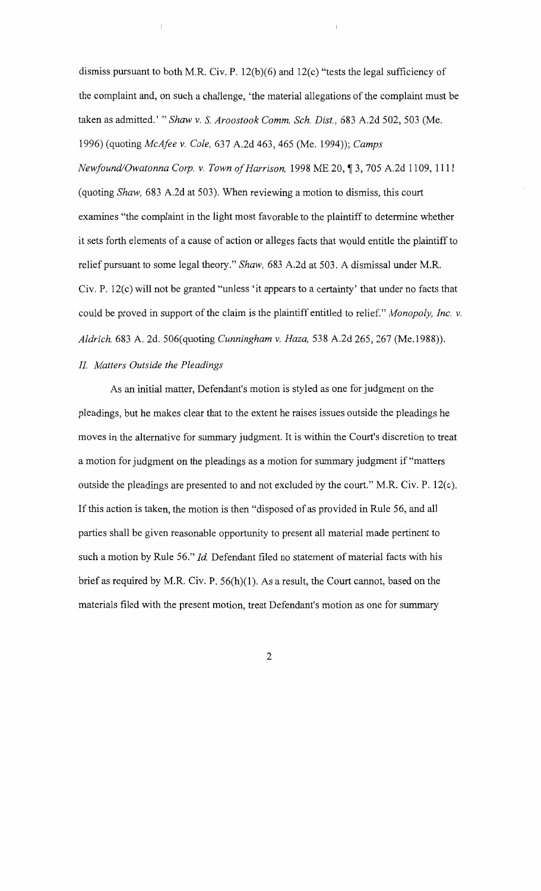dismiss pursuant to both M.R. Civ. P. 12(b)(6) and 12(c) "tests the legal sufficiency of the complaint and, on such a challenge, 'the material allegations of the complaint must be taken as admitted.' " *Shaw v.* S. *Aroostook Comm. Sch. Dist.,* 683 A.2d 502, 503 (Me. 1996) (quoting *McAfee v. Cole,* 637 A.2d 463,465 (Me. 1994)); *Camps* 

*Newfound/Owatonna Corp. v. Town of Harrison, 1998 ME 20, 13, 705 A.2d 1109, 1111* (quoting *Shaw,* 683 A.2d at 503). When reviewing a motion to dismiss, this court examines "the complaint in the light most favorable to the plaintiff to determine whether it sets forth elements of a cause of action or alleges facts that would entitle the plaintiff to relief pursuant to some legal theory." *Shaw,* 683 A.2d at 503. A dismissal under M.R. Civ. P. 12(c) will not be granted "unless 'it appears to a certainty' that under no facts that could be proved in support of the claim is the plaintiff entitled to relief." *Monopoly, Inc. v. Aldrich,* 683 A. 2d. 506(quoting *Cunningham v. Haza,* 538 A.2d 265, 267 (Me.1988)).

## *II. Matters Outside the Pleadings*

As an initial matter, Defendant's motion is styled as one for judgment on the pleadings, but he makes clear that to the extent he raises issues outside the pleadings he moves in the alternative for summary judgment. It is within the Court's discretion to treat a motion for judgment on the pleadings as a motion for summary judgment if "matters outside the pleadings are presented to and not excluded by the court." M.R. Civ. P. 12(c). If this action is taken, the motion is then "disposed of as provided in Rule 56, and all parties shall be given reasonable opportunity to present all material made pertinent to such a motion by Rule 56." *Id.* Defendant filed no statement of material facts with his brief as required by M.R. Civ. P.  $56(h)(1)$ . As a result, the Court cannot, based on the materials filed with the present motion, treat Defendant's motion as one for summary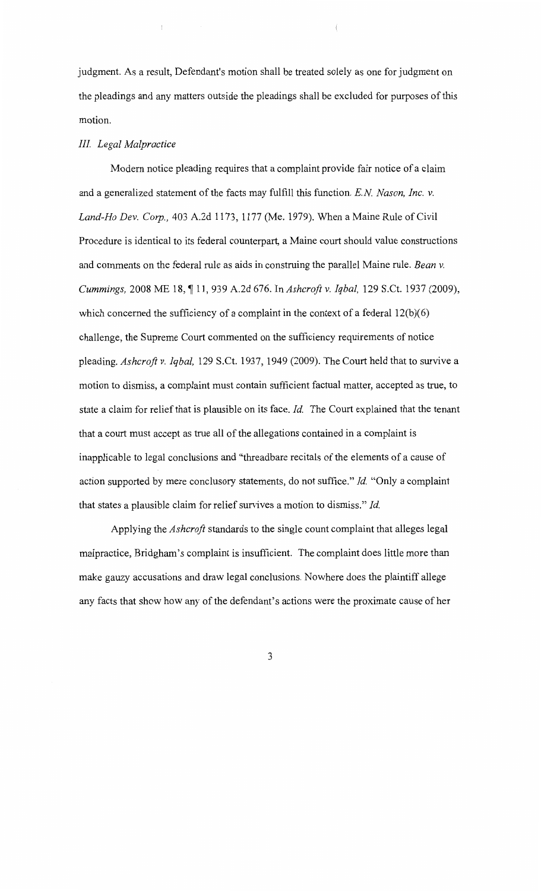judgment. As a result, Defendant's motion shall be treated solely as one for judgment on the pleadings and any matters outside the pleadings shall be excluded for purposes of this motion.

## *III. Legal Malpractice*

Modern notice pleading requires that a complaint provide fair notice of a claim and a generalized statement of the facts may fulfill this function. *E.N Nason, Inc. v. Land-Ho Dev. Corp.,* 403 A.2d 1173, 1177 (Me. 1979). When a Maine Rule of Civil Procedure is identical to its federal counterpart, a Maine court should value constructions and comments on the federal rule as aids in construing the parallel Maine rule. *Bean v. Cummings, 2008 ME 18, ¶ 11, 939 A.2d 676. In Ashcroft v. Iqbal, 129 S.Ct. 1937 (2009),* which concerned the sufficiency of a complaint in the context of a federal  $12(b)(6)$ challenge, the Supreme Court commented on the sufficiency requirements of notice pleading. *Ashcroft v. Iqbal,* 129 S.Ct. 1937, 1949 (2009). The Court held that to survive a motion to dismiss, a complaint must contain sufficient factual matter, accepted as true, to state a claim for relief that is plausible on its face. *Id.* The Court explained that the tenant that a court must accept as true all of the allegations contained in a complaint is inapplicable to legal conclusions and "threadbare recitals of the elements of a cause of action supported by mere conclusory statements, do not suffice." *Id.* "Only a complaint that states a plausible claim for relief survives a motion to dismiss." *Id.* 

Applying the *Ashcroft* standards to the single count complaint that alleges legal malpractice, Bridgham's complaint is insufficient. The complaint does little more than make gauzy accusations and draw legal conclusions. Nowhere does the plaintiff allege any facts that show how any of the defendant's actions were the proximate cause of her

3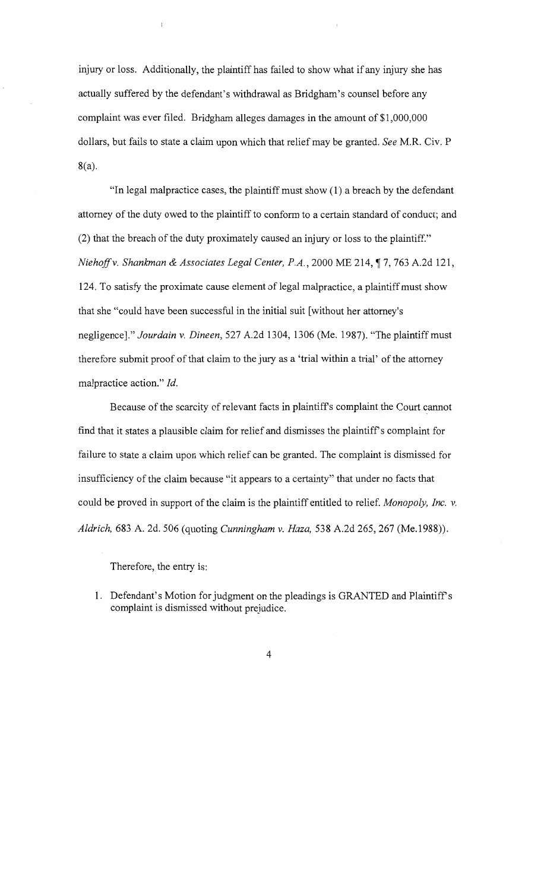injury or loss. Additionally, the plaintiff has failed to show what if any injury she has actually suffered by the defendant's withdrawal as Bridgham's counsel before any complaint was ever filed. Bridgham alleges damages in the amount of \$1,000,000 dollars, but fails to state a claim upon which that relief may be granted. *See* M.R. Civ. P 8(a).

"In legal malpractice cases, the plaintiff must show (1) a breach by the defendant attorney of the duty owed to the plaintiff to conform to a certain standard of conduct; and (2) that the breach of the duty proximately caused an injury or loss to the plaintiff." *Niehoff v. Shankman & Associates Legal Center, P.A.*, 2000 ME 214, 17, 763 A.2d 121, 124. To satisfy the proximate cause element of legal malpractice, a plaintiff must show that she "could have been successful in the initial suit [without her attorney's negligence]." *Jourdain v. Dineen,* 527 A.2d 1304, 1306 (Me. 1987). "The plaintiff must therefore submit proof of that claim to the jury as a 'trial within a trial' of the attorney malpractice action." *ld.* 

Because of the scarcity of relevant facts in plaintiffs complaint the Court cannot find that it states a plausible claim for relief and dismisses the plaintiffs complaint for failure to state a claim upon which relief can be granted. The complaint is dismissed for insufficiency of the claim because "it appears to a certainty" that under no facts that could be proved in support of the claim is the plaintiff entitled to relief. *Monopoly, Inc. v. Aldrich,* 683 A. 2d. 506 (quoting *Cunningham v. Haza,* 538 A.2d 265,267 (Me.1988)).

Therefore, the entry is:

1. Defendant's Motion for judgment on the pleadings is GRANTED and Plaintiff's complaint is dismissed without prejudice.

4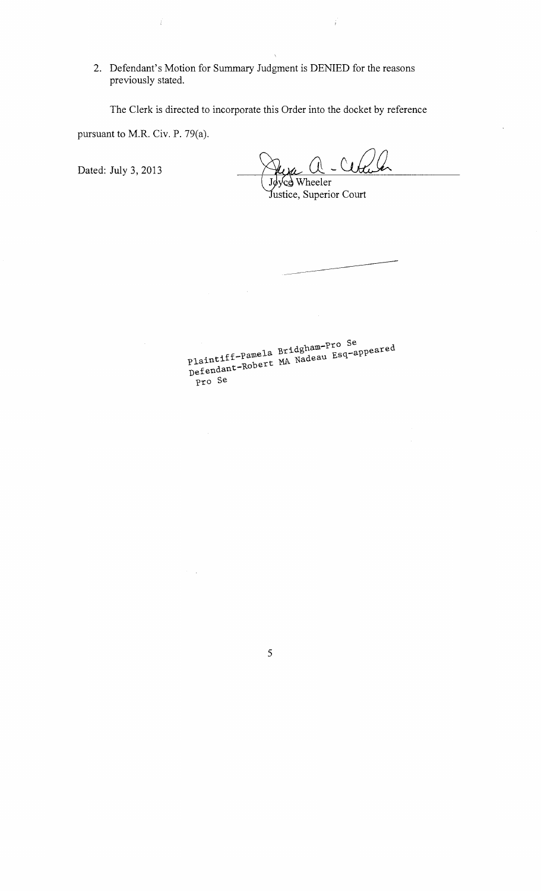2. Defendant's Motion for Summary Judgment is DENIED for the reasons previously stated.

The Clerk is directed to incorporate this Order into the docket by reference

pursuant to M.R. Civ. P. 79(a).

Ť

Dated: July 3, 2013

ce Wheeler

Justice, Superior Court

doham-Pro Se coared plaintiff-Pamela Briughom Esq-appeared Plaincre<br>Defendant-Robert pro Se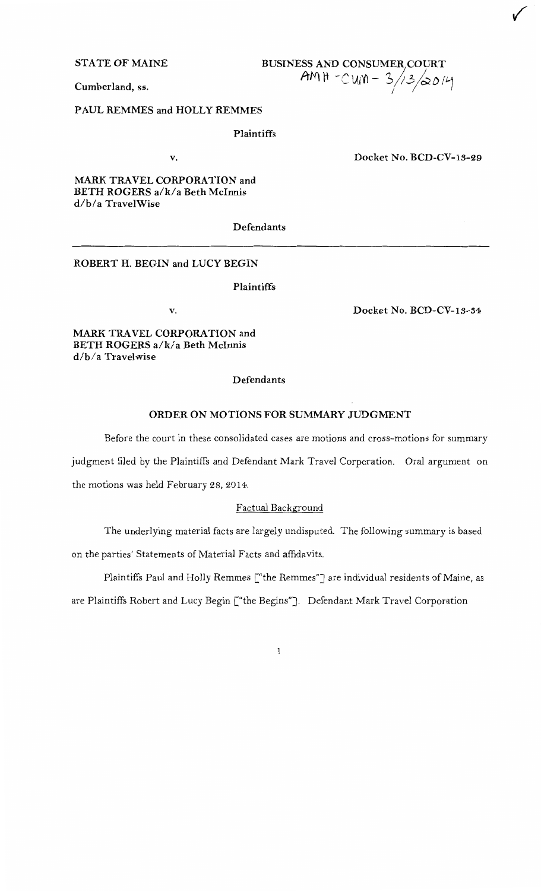**STATE OF MAINE** 

# **BUSINESS AND CONSUMER COURT**  $AMH - CUM - 3/13/2014$

**Cumberland,** ss.

**PAUL REMMES and HOLLY REMMES** 

**Plaintiffs** 

v.

**Docket No. BCD-CV-13-29** 

**MARK TRAVEL CORPORATION and BETH ROGERS a/k/a Beth Mcinnis d/b/a TravelWise** 

**Defendants** 

**ROBERT H. BEGIN and LUCY BEGIN** 

#### **Plaintiffs**

v.

**Docket No. BCD-CV-13-34** 

**MARK TRAVEL CORPORATION and BETH ROGERS a/k/a Beth Mcinnis d/b/a Travelwise** 

## **Defendants**

## **ORDER ON MOTIONS FOR SUMMARY JUDGMENT**

Before the court in these consolidated cases are motions and cross-motions for summary

judgment filed by the Plaintiffs and Defendant Mark Travel Corporation. Oral argument on

the motions was held February 28, 2014.

#### Factual Background

The underlying material facts are largely undisputed. The following summary is based

on the parties' Statements of Material Facts and affidavits.

Plaintiffs Paul and Holly Remmes ["the Remmes"] are individual residents of Maine, as

are Plaintiffs Robert and Lucy Begin ["the Begins"]. Defendant Mark Travel Corporation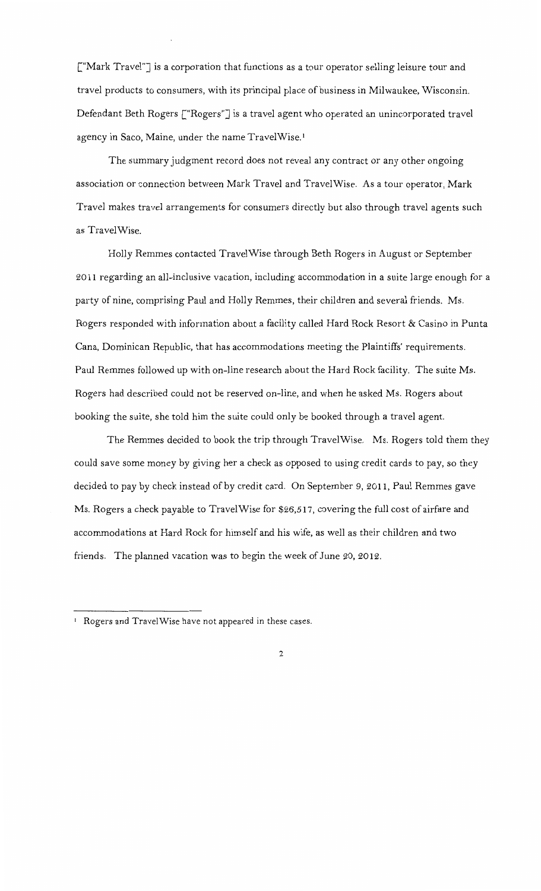["Mark Travel"] is a corporation that functions as a tour operator selling leisure tour and travel products to consumers, with its principal place of business in Milwaukee, Wisconsin. Defendant Beth Rogers ["Rogers"] is a travel agent who operated an unincorporated travel agency in Saco, Maine, under the name TravelWise.<sup>1</sup>

The summary judgment record does not reveal any contract or any other ongoing association or connection between Mark Travel and TravelWise. As a tour operator, Mark Travel makes travel arrangements for consumers directly but also through travel agents such as TravelWise.

Holly Remmes contacted TravelWise through Beth Rogers in August or September 2011 regarding an all-inclusive vacation, including accommodation in a suite large enough for a party of nine, comprising Paul and Holly Remmes, their children and several friends. Ms. Rogers responded with information about a facility called Hard Rock Resort & Casino in Punta Cana, Dominican Republic, that has accommodations meeting the Plaintiffs' requirements. Paul Remmes followed up with on-line research about the Hard Rock facility. The suite Ms. Rogers had described could not be reserved on-line, and when he asked Ms. Rogers about booking the suite, she told him the suite could only be booked through a travel agent.

The Remmes decided to book the trip through TravelWise. Ms. Rogers told them they could save some money by giving her a check as opposed to using credit cards to pay, so they decided to pay by check instead of by credit card. On September 9, 2011, Paul Remmes gave Ms. Rogers a check payable to Travel Wise for \$26,517, covering the full cost of airfare and accommodations at Hard Rock for himself and his wife, as well as their children and two friends. The planned vacation was to begin the week of June 20, 2012.

<sup>&</sup>lt;sup>1</sup> Rogers and TravelWise have not appeared in these cases.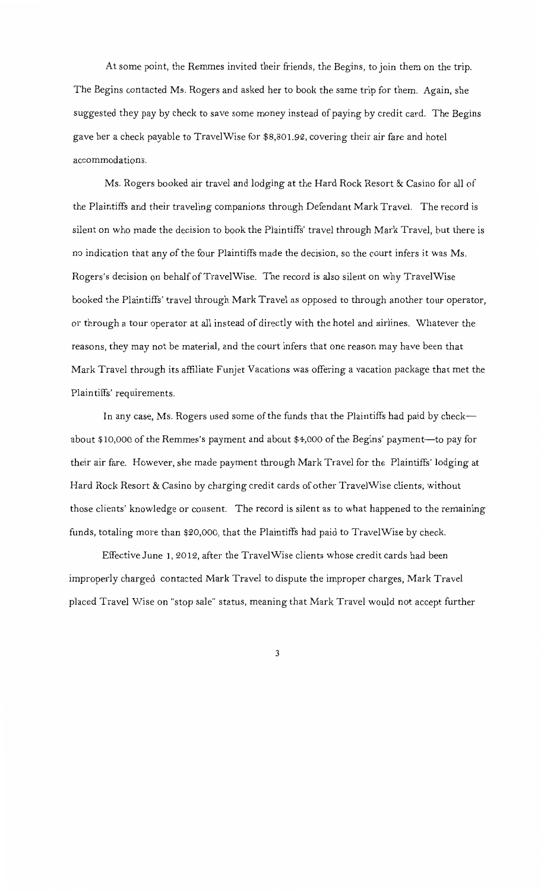At some point, the Remmes invited their friends, the Begins, to join them on the trip. The Begins contacted Ms. Rogers and asked her to book the same trip for them. Again, she suggested they pay by check to save some money instead of paying by credit card. The Begins gave her a check payable to TravelWise for \$8,801.92, covering their air fare and hotel accommodations.

Ms. Rogers booked air travel and lodging at the Hard Rock Resort & Casino for all of the Plaintiffs and their traveling companions through Defendant Mark Travel. The record is silent on who made the decision to book the Plaintiffs' travel through Mark Travel, but there is no indication that any of the four Plaintiffs made the decision, so the court infers it was Ms. Rogers's decision on behalf of TravelWise. The record is also silent on why TravelWise booked the Plaintiffs' travel through Mark Travel as opposed to through another tour operator, or through a tour operator at all instead of directly with the hotel and airlines. Whatever the reasons, they may not be material, and the court infers that one reason may have been that Mark Travel through its affiliate Funjet Vacations was offering a vacation package that met the Plain tiffs' requirements.

In any case, Ms. Rogers used some of the funds that the Plaintiffs had paid by check-about \$10,000 of the Remmes's payment and about \$4,000 of the Begins' payment—to pay for their air fare. However, she made payment through Mark Travel for the Plaintiffs' lodging at Hard Rock Resort & Casino by charging credit cards of other Travel Wise clients, without those clients' knowledge or consent. The record is silent as to what happened to the remaining funds, totaling more than \$20,000, that the Plaintiffs had paid to TravelWise by check.

Effective June 1, 2012, after the TravelWise clients whose credit cards had been improperly charged contacted Mark Travel to dispute the improper charges, Mark Travel placed Travel Wise on "stop sale" status, meaning that Mark Travel would not accept further

3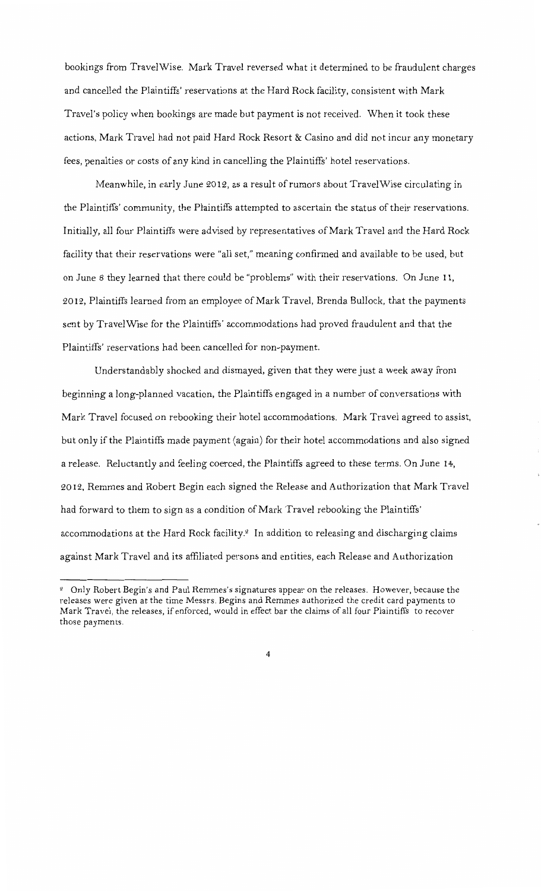bookings from TravelWise. Mark Travel reversed what it determined to be fraudulent charges and cancelled the Plaintiffs' reservations at the Hard Rock facility, consistent with Mark Travel's policy when bookings are made but payment is not received. When it took these actions, Mark Travel had not paid Hard Rock Resort & Casino and did not incur any monetary fees, penalties or costs of any kind in cancelling the Plaintiffs' hotel reservations.

Meanwhile, in early June 2012, as a result of rumors about TravelWise circulating in the Plaintiffs' community, the Plaintiffs attempted to ascertain the status oftheir reservations. Initially, all four Plaintiffs were advised by representatives of Mark Travel and the Hard Rock facility that their reservations were "all set," meaning confirmed and available to be used, but on June 8 they learned that there could be "problems" with their reservations. On June 11, 2012, Plaintiffs learned from an employee of Mark Travel, Brenda Bullock, that the payments sent by TravelWise for the Plaintiffs' accommodations had proved fraudulent and that the Plaintiffs' reservations had been cancelled for non-payment.

Understandably shocked and dismayed, given that they were just a week away from beginning a long-planned vacation, the Plaintiffs engaged in a number of conversations with Mark Travel focused on rebooking their hotel accommodations. Mark Travel agreed to assist, but only if the Plaintiffs made payment (again) for their hotel accommodations and also signed a release. Reluctantly and feeling coerced, the Plaintiffs agreed to these terms. On June 14, 2012, Remmes and Robert Begin each signed the Release and Authorization that Mark Travel had forward to them to sign as a condition of Mark Travel rebooking the Plaintiffs' accommodations at the Hard Rock facility.<sup>2</sup> In addition to releasing and discharging claims against Mark Travel and its affiliated persons and entities, each Release and Authorization

<sup>&</sup>lt;sup>2</sup> Only Robert Begin's and Paul Remmes's signatures appear on the releases. However, because the releases were given at the time Messrs. Begins and Remmes authorized the credit card payments to Mark Travel, the releases, if enforced, would in effect bar the claims of all four Plaintiffs to recover those payments.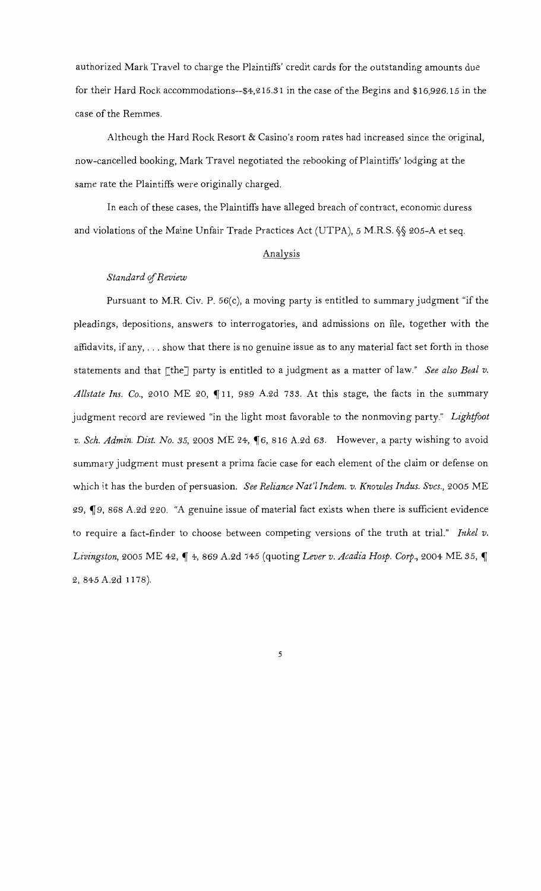authorized Mark Travel to charge the Plaintiffs' credit cards for the outstanding amounts due for their Hard Rock accommodations--\$4,215.31 in the case of the Begins and \$16,926.15 in the case of the Remmes.

Although the Hard Rock Resort & Casino's room rates had increased since the original, now-cancelled booking, Mark Travel negotiated the rebooking of Plaintiffs' lodging at the same rate the Plaintiffs were originally charged.

In each of these cases, the Plaintiffs have alleged breach of contract, economic duress and violations ofthe Maine Unfair Trade Practices Act (UTPA), *5* M.R.S. §§ 205-A et seq.

### Analysis

#### *Standard* cif *Review*

Pursuant to M.R. Civ. P.  $56(c)$ , a moving party is entitled to summary judgment "if the pleadings, depositions, answers to interrogatories, and admissions on file, together with the affidavits, if any, ... show that there is no genuine issue as to any material fact set forth in those statements and that [the] party is entitled to a judgment as a matter of law." *See also Beal v. Allstate Ins. Co., 2010 ME 20,*  $\P$ 11, 989 A.2d 733. At this stage, the facts in the summary judgment record are reviewed "in the light most favorable to the nonmoving party." *Lightfoot*  v. Sch. Admin. Dist. No. 35, 2003 ME 24, 16, 816 A.2d 63. However, a party wishing to avoid summary judgment must present a prima facie case for each element of the claim or defense on which it has the burden of persuasion. *See Reliance Nat'l Indem. v. Knowles Indus. Svcs.,* 2005 ME 29, ¶9, 868 A.2d 220. "A genuine issue of material fact exists when there is sufficient evidence to require a fact-finder to choose between competing versions of the truth at trial." *Inkel v. Livingston, 2005 ME 42, 14, 869 A.2d 745 (quoting Lever v. Acadia Hosp. Corp., 2004 ME 35, 1* 2, 845 A.2d 1178).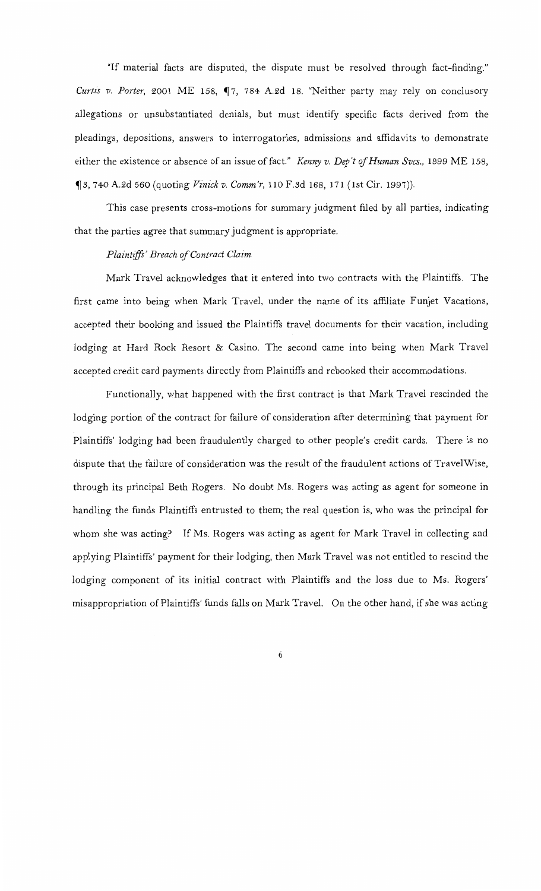"If material facts are disputed, the dispute must be resolved through fact-finding." *Curtis v. Porter*, 2001 ME 158,  $\P$ 7, 784 A.2d 18. "Neither party may rely on conclusory allegations or unsubstantiated denials, but must identify specific facts derived from the pleadings, depositions, answers to interrogatories, admissions and affidavits to demonstrate either the existence or absence of an issue of fact." *Kenny v. Dep't* if *Human Svcs.,* 1999 ME 158, ~s, 740 A.2d *560* (quoting *Vinick v. Comm'r,* 110 F.sd 168, 171 (1st Cir. 1997)).

This case presents cross-motions for summary judgment filed by all parties, indicating that the parties agree that summary judgment is appropriate.

#### *Plaintijfs' Breach* if *Contract Claim*

Mark Travel acknowledges that it entered into two contracts with the Plaintiffs. The first came into being when Mark Travel, under the name of its affiliate Funjet Vacations, accepted their booking and issued the Plaintiffs travel documents for their vacation, including lodging at Hard Rock Resort & Casino. The second came into being when Mark Travel accepted credit card payments directly from Plaintiffs and rebooked their accommodations.

Functionally, what happened with the first contract is that Mark Travel rescinded the lodging portion of the contract for failure of consideration after determining that payment for Plaintiffs' lodging had been fraudulently charged to other people's credit cards. There is no dispute that the failure of consideration was the result of the fraudulent actions of Travel Wise, through its principal Beth Rogers. No doubt Ms. Rogers was acting as agent for someone in handling the funds Plaintiffs entrusted to them; the real question is, who was the principal for whom she was acting? If Ms. Rogers was acting as agent for Mark Travel in collecting and applying Plaintiffs' payment for their lodging, then Mark Travel was not entitled to rescind the lodging component of its initial contract with Plaintiffs and the loss due to Ms. Rogers' misappropriation of Plaintiffs' funds falls on Mark Travel. On the other hand, if she was acting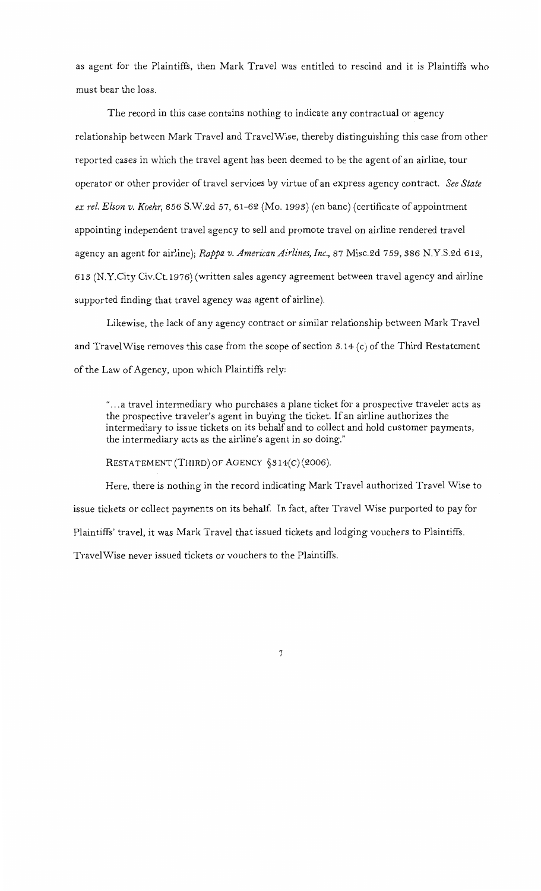as agent for the Plaintiffs, then Mark Travel was entitled to rescind and it is Plaintiffs who must bear the loss.

The record in this case contains nothing to indicate any contractual or agency relationship between Mark Travel and TravelWise, thereby distinguishing this case from other reported cases in which the travel agent has been deemed to be the agent of an airline, tour operator or other provider of travel services by virtue of an express agency contract. *See State ex rel. Elson v. Koehr,* 856 S.W.2d 57, 61-62 (Mo. 1993) (en bane) (certificate of appointment appointing independent travel agency to sell and promote travel on airline rendered travel agency an agent for airline); *Rappa v. American Airlines, Inc.,* 87 Misc.2d 759, 386 N.Y.S.2d 612, 613 (N.Y.City Civ.Ct.1976) (written sales agency agreement between travel agency and airline supported finding that travel agency was agent of airline).

Likewise, the lack of any agency contract or similar relationship between Mark Travel and TravelWise removes this case from the scope of section  $3.14$  (c) of the Third Restatement of the Law of Agency, upon which Plaintiffs rely:

"... a travel intermediary who purchases a plane ticket for a prospective traveler acts as the prospective traveler's agent in buying the ticket. If an airline authorizes the intermediary to issue tickets on its behalf and to collect and hold customer payments, the intermediary acts as the airline's agent in so doing."

RESTATEMENT (THIRD) OF AGENCY §3 14(C) (2006).

Here, there is nothing in the record indicating Mark Travel authorized Travel Wise to issue tickets or collect payments on its behalf. In fact, after Travel Wise purported to pay for Plaintiffs' travel, it was Mark Travel that issued tickets and lodging vouchers to Plaintiffs. TravelWise never issued tickets or vouchers to the Plaintiffs.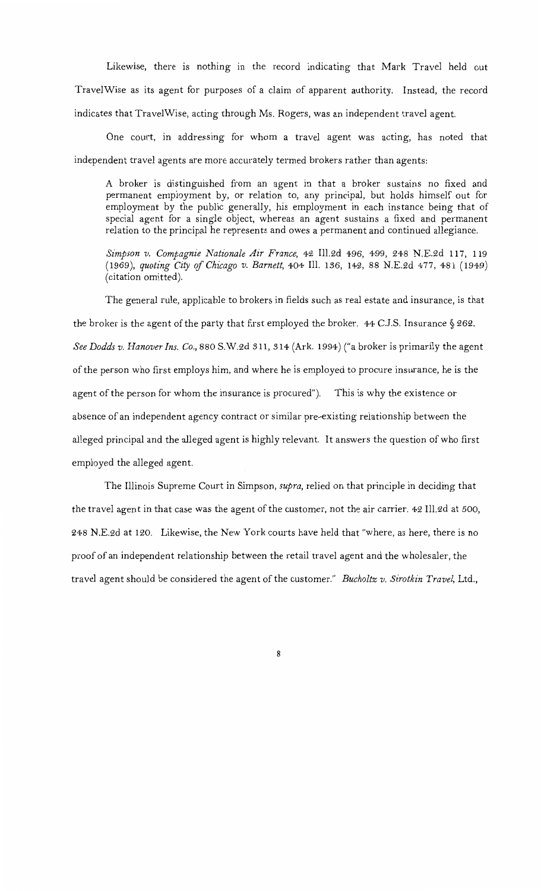Likewise, there is nothing in the record indicating that Mark Travel held out TravelWise as its agent for purposes of a claim of apparent authority. Instead, the record indicates that TravelWise, acting through Ms. Rogers, was an independent travel agent.

One court, in addressing for whom a travel agent was acting, has noted that independent travel agents are more accurately termed brokers rather than agents:

A broker is distinguished from an agent in that a broker sustains no fixed and permanent employment by, or relation to, any principal, but holds himself out for employment by the public generally, his employment in each instance being that of special agent for a single object, whereas an agent sustains a fixed and permanent relation to the principal he represents and owes a permanent and continued allegiance.

*Simpson v. Compagnie Nationale Air France,* 42 Ill.2d 496, 499, 248 N.E.2d 117, 119 (1969), *quoting City cif'Chicago v. Barnett,* 404 Ill. 136, 142, 88 N.E.2d 477, 481 (1949) (citation omitted).

The general rule, applicable to brokers in fields such as real estate and insurance, is that the broker is the agent of the party that first employed the broker. 44 C.J.S. Insurance§ 262. *See Dodds v. Hanover Ins. Co.,* 880 S.W.2d 311, *S* 14 (Ark. 1994) ("a broker is primarily the agent of the person who first employs him, and where he is employed to procure insurance, he is the agent of the person for whom the insurance is procured"). This is why the existence or absence of an independent agency contract or similar pre-existing relationship between the alleged principal and the alleged agent is highly relevant. It answers the question of who first employed the alleged agent.

The Illinois Supreme Court in Simpson, *supra,* relied on that principle in deciding that the travel agent in that case was the agent of the customer, not the air carrier. 42 Ill.2d at 500, 248 N.E.2d at 120. Likewise, the New York courts have held that "where, as here, there is no proof of an independent relationship between the retail travel agent and the wholesaler, the travel agent should be considered the agent of the customer." *Bucholtz v. Sirotkin Travel,* Ltd.,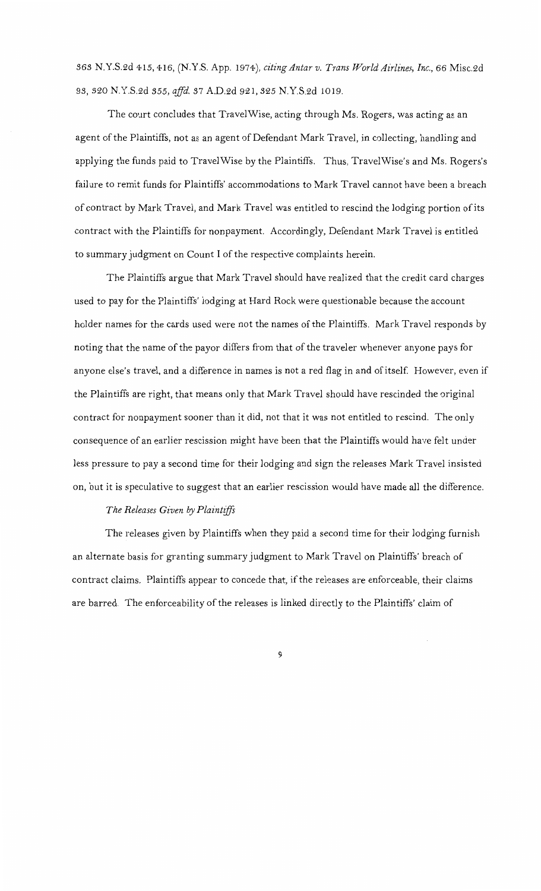363 N.Y.S.2d 415, 416, (N.Y.S. App. 1974), *citing Antar v. Trans World Airlines, Inc.,* 66 Misc.2d 93, 320 N.Y.S.2d 355, *affd.* 37 A.D.2d 921, 325 N.Y.S.2d 1019.

The court concludes that TravelWise, acting through Ms. Rogers, was acting as an agent of the Plaintiffs, not as an agent of Defendant Mark Travel, in collecting, handling and applying the funds paid to TravelWise by the Plaintiffs. Thus, TravelWise's and Ms. Rogers's failure to remit funds for Plaintiffs' accommodations to Mark Travel cannot have been a breach of contract by Mark Travel, and Mark Travel was entitled to rescind the lodging portion of its contract with the Plaintiffs for nonpayment. Accordingly, Defendant Mark Travel is entitled to summary judgment on Count I of the respective complaints herein.

The Plaintiffs argue that Mark Travel should have realized that the credit card charges used to pay for the Plaintiffs' lodging at Hard Rock were questionable because the account holder names for the cards used were not the names of the Plaintiffs. Mark Travel responds by noting that the name of the payor differs from that of the traveler whenever anyone pays for anyone else's travel, and a difference in names is not a red flag in and of itself. However, even if the Plaintiffs are right, that means only that Mark Travel should have rescinded the original contract for nonpayment sooner than it did, not that it was not entitled to rescind. The only consequence of an earlier rescission might have been that the Plaintiffs would have felt under less pressure to pay a second time for their lodging and sign the releases Mark Travel insisted on, but it is speculative to suggest that an earlier rescission would have made all the difference.

## *The Releases Given by Plaintiffs*

The releases given by Plaintiffs when they paid a second time for their lodging furnish an alternate basis for granting summary judgment to Mark Travel on Plaintiffs' breach of contract claims. Plaintiffs appear to concede that, if the releases are enforceable, their claims are barred. The enforceability of the releases is linked directly to the Plaintiffs' claim of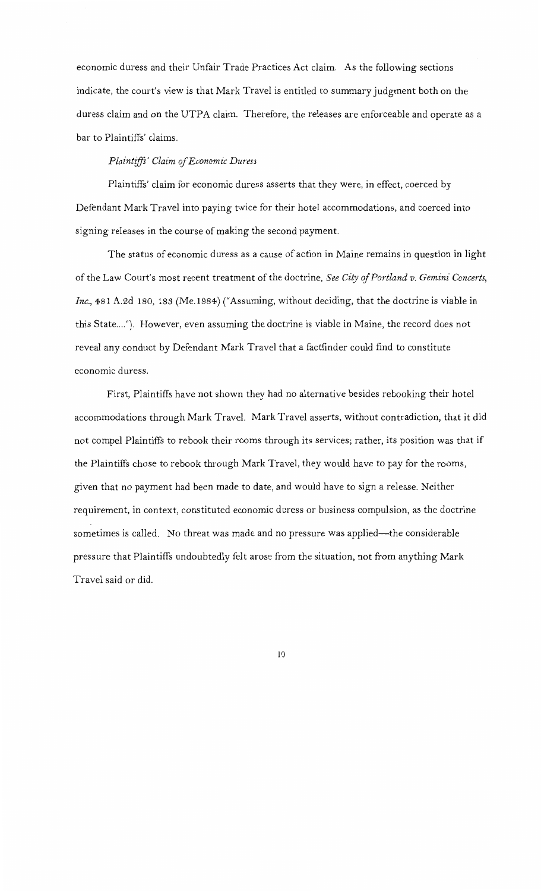economic duress and their Unfair Trade Practices Act claim. As the following sections indicate, the court's view is that Mark Travel is entitled to summary judgment both on the duress claim and on the UTPA claim. Therefore, the releases are enforceable and operate as a bar to Plaintiffs' claims.

## *Plaintiffs' Claim of Economic Duress*

Plaintiffs' claim for economic duress asserts that they were, in effect, coerced by Defendant Mark Travel into paying twice for their hotel accommodations, and coerced into signing releases in the course of making the second payment.

The status of economic duress as a cause of action in Maine remains in question in light of the Law Court's most recent treatment of the doctrine, *See City cifPortland v. Gemini Concerts, Inc.,* 481 A.2d 180, 183 (Me.1984) ("Assuming, without deciding, that the doctrine is viable in this State...."). However, even assuming the doctrine is viable in Maine, the record does not reveal any conduct by Defendant Mark Travel that a factfinder could find to constitute economic duress.

First, Plaintiffs have not shown they had no alternative besides rebooking their hotel accommodations through Mark Travel. Mark Travel asserts, without contradiction, that it did not compel Plaintiffs to rebook their rooms through its services; rather, its position was that if the Plaintiffs chose to rebook through Mark Travel, they would have to pay for the rooms, given that no payment had been made to date, and would have to sign a release. Neither requirement, in context, constituted economic duress or business compulsion, as the doctrine sometimes is called. No threat was made and no pressure was applied---the considerable pressure that Plaintiffs undoubtedly felt arose from the situation, not from anything Mark Travel said or did.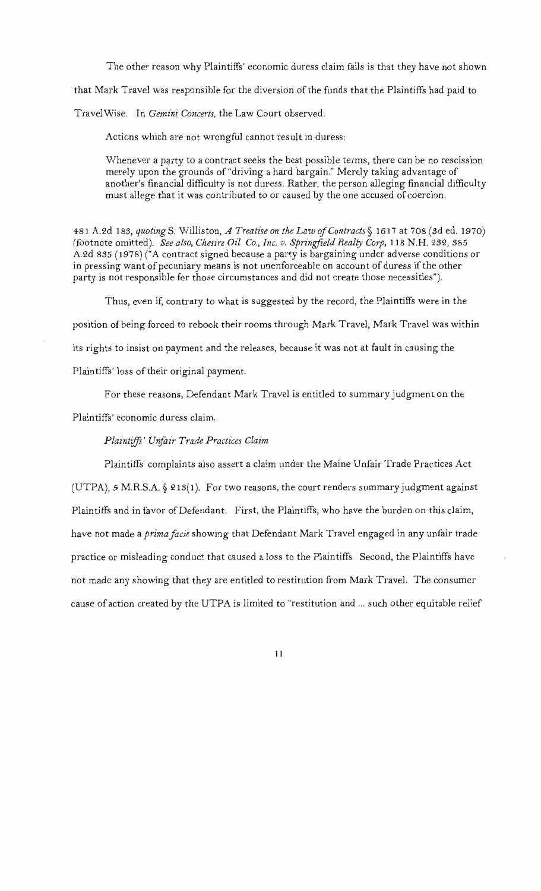The other reason why Plaintiffs' economic duress claim fails is that they have not shown

that Mark Travel was responsible for the diversion of the funds that the Plaintiffs had paid to

TravelWise. In *Gemini Concerts,* the Law Court observed:

Actions which are not wrongful cannot result in duress:

Whenever a party to a contract seeks the best possible terms, there can be no rescission merely upon the grounds of"driving a hard bargain." Merely taking advantage of another's financial difficulty is not duress. Rather, the person alleging financial difficulty must allege that it was contributed to or caused by the one accused of coercion.

481 A.2d 18.3, *quotingS.* Williston, *A Treatise on the LawofContracts§* 1617 at 708 (sd ed. 1970) (footnote omitted). *See also, Chesire Oil Co., Inc. v. Springfield Realty Corp, 118 N.H. 232, 385* A.2d 835 (1978) ("A contract signed because a party is bargaining under adverse conditions or in pressing want of pecuniary means is not unenforceable on account of duress if the other party is not responsible for those circumstances and did not create those necessities").

Thus, even if, contrary to what is suggested by the record, the Plaintiffs were in the position of being forced to rebook their rooms through Mark Travel, Mark Travel was within its rights to insist on payment and the releases, because it was not at fault in causing the Plaintiffs' loss of their original payment.

For these reasons, Defendant Mark Travel is entitled to summary judgment on the

Plaintiffs' economic duress claim.

#### *Plaintijfs' Unfair Trade Practices Claim*

Plaintiffs' complaints also assert a claim under the Maine Unfair Trade Practices Act (UTPA), 5 M.R.S.A. § 213(1). For two reasons, the court renders summary judgment against Plaintiffs and in favor of Defendant. First, the Plaintiffs, who have the burden on this claim, have not made a *prima facie* showing that Defendant Mark Travel engaged in any unfair trade practice or misleading conduct that caused a loss to the Plaintiffs. Second, the Plaintiffs have not made any showing that they are entitled to restitution from Mark Travel. The consumer cause of action created by the UTPA is limited to "restitution and ... such other equitable relief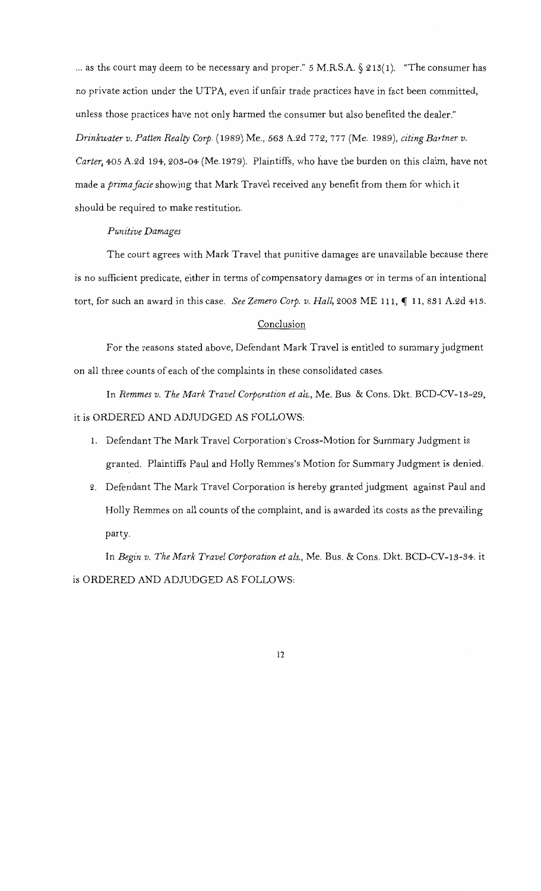... as the court may deem to be necessary and proper." *5* M.R.S.A. § 213(1). "The consumer has no private action under the UTPA, even if unfair trade practices have in fact been committed, unless those practices have not only harmed the consumer but also benefited the dealer." *Drinkwater v. Patten Realty Corp.* (1989) Me., *563* A.2d 772, 777 (Me. 1989), *citing Bartner v.*  Carter, 405 A.2d 194, 203-04 (Me.1979). Plaintiffs, who have the burden on this claim, have not made a *prima facie* showing that Mark Travel received any benefit from them for which it should be required to make restitution.

#### *Punitive Damages*

The court agrees with Mark Travel that punitive damages are unavailable because there is no sufficient predicate, either in terms of compensatory damages or in terms of an intentional tort, for such an award in this case. *See Zemero Corp. v. Hall*, 2003 ME 111,  $\P$  11, 831 A.2d 413.

#### Conclusion

For the reasons stated above, Defendant Mark Travel is entitled to summary judgment on all three counts of each of the complaints in these consolidated cases.

In *Remmes v. The Mark Travel Corporation et als.,* Me. Bus. & Cons. Dkt. BCD-CV-13-29, it is ORDERED AND ADJUDGED AS FOLLOWS:

- I. Defendant The Mark Travel Corporation's Cross-Motion for Summary Judgment is granted. Plaintiffs Paul and Holly Remmes's Motion for Summary Judgment is denied.
- 2. Defendant The Mark Travel Corporation is hereby granted judgment against Paul and Holly Remmes on all counts of the complaint, and is awarded its costs as the prevailing party.

In *Begin v. The Mark Travel Corporation et als.,* Me. Bus. & Cons. Dkt. BCD-CV-13-34. it is ORDERED AND ADJUDGED AS FOLLOWS: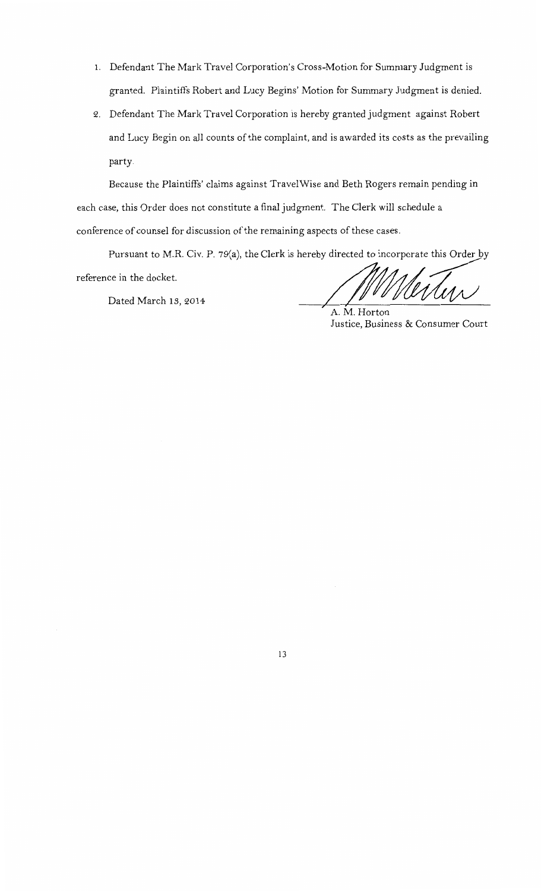- 1. Defendant The Mark Travel Corporation's Cross-Motion for Summary Judgment is granted. Plaintiffs Robert and Lucy Begins' Motion for Summary Judgment is denied.
- 2. Defendant The Mark Travel Corporation is hereby granted judgment against Robert and Lucy Begin on all counts of the complaint, and is awarded its costs as the prevailing party.

Because the Plaintiffs' claims against TravelWise and Beth Rogers remain pending in each case, this Order does not constitute a final judgment. The Clerk will schedule a conference of counsel for discussion of the remaining aspects of these cases.

Pursuant to M.R. Civ. P. 79(a), the Clerk is hereby directed to incorporate this Order by

reference in the docket.

Dated March 13, 2014 ;-

ects of these cases.<br>y directed to incorporate this Order by<br>AMMMMMM

A.M. Horton Justice, Business & Consumer Court